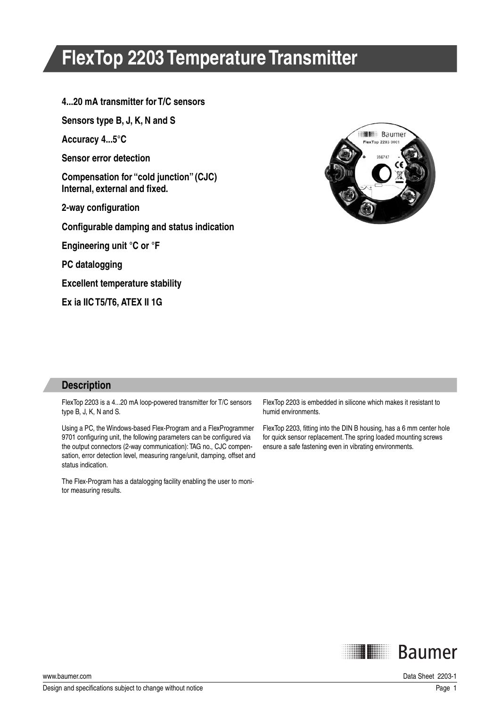# **FlexTop 2203 Temperature Transmitter**

### **4...20 mA transmitter for T/C sensors**

**Sensors type B, J, K, N and S**

**Accuracy 4...5°C**

**Sensor error detection**

**Compensation for "cold junction" (CJC)** Internal, external and fixed.

**2-way configuration** 

**Configurable damping and status indication** 

**Engineering unit °C or °F**

**PC datalogging**

**Excellent temperature stability**

**Ex ia IIC T5/T6, ATEX II 1G**



### **Description**

FlexTop 2203 is a 4...20 mA loop-powered transmitter for T/C sensors type B, J, K, N and S.

Using a PC, the Windows-based Flex-Program and a FlexProgrammer 9701 configuring unit, the following parameters can be configured via the output connectors (2-way communication): TAG no., CJC compensation, error detection level, measuring range/unit, damping, offset and status indication.

The Flex-Program has a datalogging facility enabling the user to monitor measuring results.

FlexTop 2203 is embedded in silicone which makes it resistant to humid environments.

FlexTop 2203, fitting into the DIN B housing, has a 6 mm center hole for quick sensor replacement. The spring loaded mounting screws ensure a safe fastening even in vibrating environments.

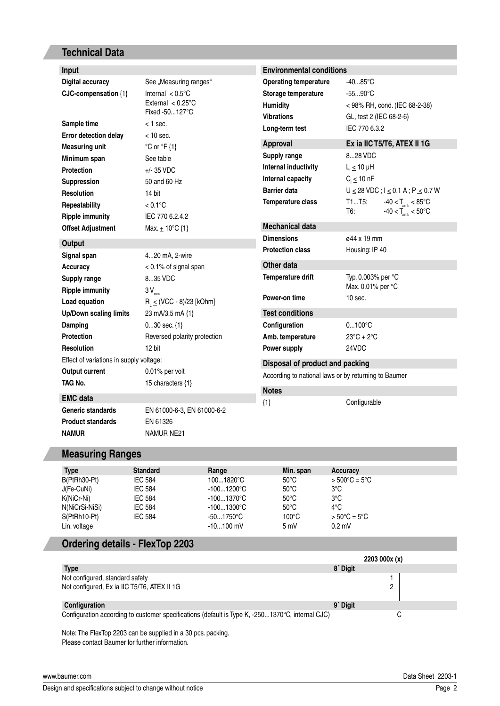## **Technical Data**

| Input                                                                      |                                                                                                | <b>Environmental conditions</b>                                                             |                                                                                                    |  |  |
|----------------------------------------------------------------------------|------------------------------------------------------------------------------------------------|---------------------------------------------------------------------------------------------|----------------------------------------------------------------------------------------------------|--|--|
| <b>Digital accuracy</b><br>CJC-compensation {1}                            | See "Measuring ranges"<br>Internal $< 0.5$ °C<br>External $< 0.25^{\circ}$ C<br>Fixed -50127°C | <b>Operating temperature</b><br>Storage temperature<br><b>Humidity</b><br><b>Vibrations</b> | $-4085^{\circ}$ C<br>$-5590^{\circ}$ C<br>< 98% RH, cond. (IEC 68-2-38)<br>GL, test 2 (IEC 68-2-6) |  |  |
| Sample time                                                                | $<$ 1 sec.                                                                                     | Long-term test                                                                              | IEC 770 6.3.2                                                                                      |  |  |
| Error detection delay                                                      | $<$ 10 sec.                                                                                    |                                                                                             |                                                                                                    |  |  |
| <b>Measuring unit</b>                                                      | $°C$ or $°C$ {1}                                                                               | <b>Approval</b>                                                                             | Ex ia IIC T5/T6, ATEX II 1G                                                                        |  |  |
| Minimum span                                                               | See table                                                                                      | Supply range                                                                                | 828 VDC                                                                                            |  |  |
| <b>Protection</b>                                                          | $+/-$ 35 VDC                                                                                   | Internal inductivity                                                                        | $L_i \leq 10$ µH                                                                                   |  |  |
| Suppression                                                                | 50 and 60 Hz                                                                                   | Internal capacity                                                                           | $C_i \leq 10$ nF                                                                                   |  |  |
| <b>Resolution</b>                                                          | 14 bit                                                                                         | <b>Barrier data</b>                                                                         | $U \le 28$ VDC; $I \le 0.1$ A; P $\le 0.7$ W                                                       |  |  |
| Repeatability                                                              | $< 0.1$ °C                                                                                     | Temperature class                                                                           | T1T5:<br>$-40 < T_{\text{amb}} < 85^{\circ}$ C<br>$-40 < T_{\text{amb}} < 50^{\circ}$ C<br>T6:     |  |  |
| <b>Ripple immunity</b>                                                     | IEC 770 6.2.4.2                                                                                |                                                                                             |                                                                                                    |  |  |
| <b>Offset Adjustment</b>                                                   | Max. $\pm$ 10°C {1}                                                                            | <b>Mechanical data</b>                                                                      |                                                                                                    |  |  |
| Output                                                                     |                                                                                                | <b>Dimensions</b>                                                                           | ø44 x 19 mm                                                                                        |  |  |
| Signal span                                                                | 420 mA, 2-wire                                                                                 | <b>Protection class</b>                                                                     | Housing: IP 40                                                                                     |  |  |
| <b>Accuracy</b>                                                            | < 0.1% of signal span                                                                          | Other data                                                                                  |                                                                                                    |  |  |
| Supply range                                                               | 835 VDC                                                                                        | Temperature drift                                                                           | Typ. 0.003% per °C                                                                                 |  |  |
| <b>Ripple immunity</b>                                                     | $3V_{rms}$                                                                                     |                                                                                             | Max. 0.01% per °C                                                                                  |  |  |
| Load equation                                                              | $R_1 \leq (VCC - 8)/23$ [kOhm]                                                                 | Power-on time                                                                               | $10$ sec.                                                                                          |  |  |
| <b>Up/Down scaling limits</b>                                              | 23 mA/3.5 mA {1}                                                                               | <b>Test conditions</b>                                                                      |                                                                                                    |  |  |
| Damping                                                                    | $030$ sec. $\{1\}$                                                                             | Configuration                                                                               | $0100^{\circ}C$                                                                                    |  |  |
| <b>Protection</b>                                                          | Reversed polarity protection                                                                   | Amb. temperature                                                                            | $23^{\circ}$ C $\pm$ 2 $^{\circ}$ C                                                                |  |  |
| <b>Resolution</b>                                                          | 12 bit                                                                                         | Power supply                                                                                | 24VDC                                                                                              |  |  |
| Effect of variations in supply voltage:<br>Disposal of product and packing |                                                                                                |                                                                                             |                                                                                                    |  |  |
| <b>Output current</b>                                                      | 0.01% per volt                                                                                 | According to national laws or by returning to Baumer                                        |                                                                                                    |  |  |
| TAG No.                                                                    | 15 characters {1}                                                                              | <b>Notes</b>                                                                                |                                                                                                    |  |  |
| <b>EMC</b> data                                                            |                                                                                                | ${1}$                                                                                       | Configurable                                                                                       |  |  |
| Generic standards                                                          | EN 61000-6-3, EN 61000-6-2                                                                     |                                                                                             |                                                                                                    |  |  |
| <b>Product standards</b><br><b>NAMUR</b>                                   | EN 61326<br><b>NAMUR NE21</b>                                                                  |                                                                                             |                                                                                                    |  |  |

## **Measuring Ranges**

| <b>Type</b>    | <b>Standard</b> | Range               | Min. span       | Accuracy                |
|----------------|-----------------|---------------------|-----------------|-------------------------|
| B(PtRh30-Pt)   | <b>IEC 584</b>  | 1001820°C           | $50^{\circ}$ C  | $> 500^{\circ}$ C = 5°C |
| J(Fe-CuNi)     | <b>IEC 584</b>  | $-1001200^{\circ}C$ | $50^{\circ}$ C  | 3°C                     |
| K(NiCr-Ni)     | <b>IEC 584</b>  | $-1001370^{\circ}C$ | $50^{\circ}$ C  | $3^{\circ}$ C           |
| N(NiCrSi-NiSi) | <b>IEC 584</b>  | $-1001300^{\circ}C$ | $50^{\circ}$ C  | $4^{\circ}$ C           |
| S(PtRh10-Pt)   | <b>IEC 584</b>  | $-501750^{\circ}$ C | $100^{\circ}$ C | $> 50^{\circ}$ C = 5°C  |
| Lin. voltage   |                 | $-10100$ mV         | 5mV             | $0.2$ mV                |

# **Ordering details - FlexTop 2203**

|                                                                                                  |                      | 2203 000x (x) |
|--------------------------------------------------------------------------------------------------|----------------------|---------------|
| <b>Type</b>                                                                                      | 8 <sup>'</sup> Digit |               |
| Not configured, standard safety                                                                  |                      |               |
| Not configured, Ex ia IIC T5/T6, ATEX II 1G                                                      |                      | っ             |
| Configuration                                                                                    | 9 <sup>'</sup> Digit |               |
| Configuration according to customer specifications (default is Type K, -2501370°C, internal CJC) |                      | U             |

Note: The FlexTop 2203 can be supplied in a 30 pcs. packing. Please contact Baumer for further information.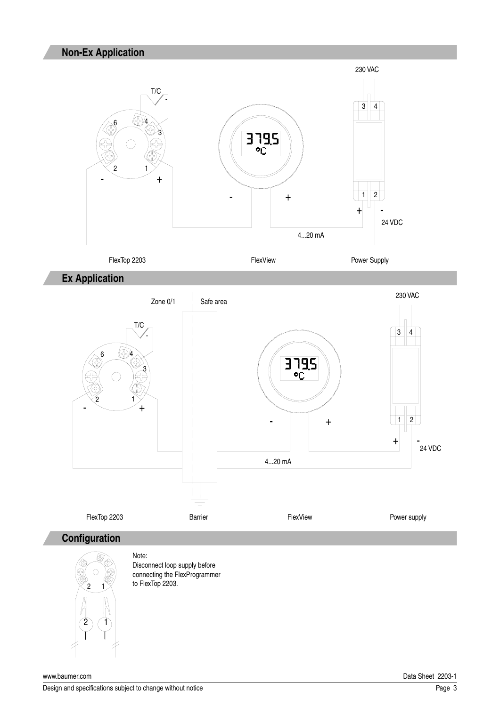

**Ex Application**



# **Configuration**



Note: Disconnect loop supply before connecting the FlexProgrammer to FlexTop 2203.